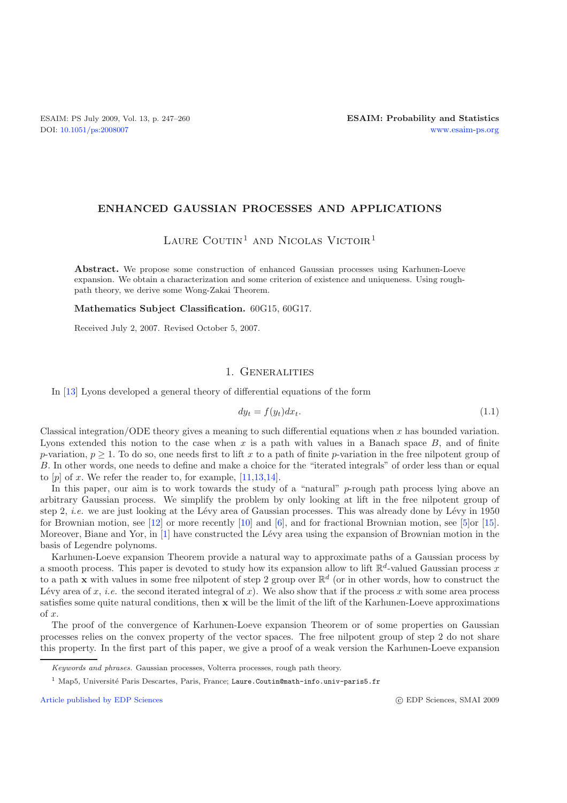#### **ENHANCED GAUSSIAN PROCESSES AND APPLICATIONS**

# LAURE COUTIN<sup>1</sup> AND NICOLAS VICTOIR<sup>1</sup>

Abstract. We propose some construction of enhanced Gaussian processes using Karhunen-Loeve expansion. We obtain a characterization and some criterion of existence and uniqueness. Using roughpath theory, we derive some Wong-Zakai Theorem.

**Mathematics Subject Classification.** 60G15, 60G17.

Received July 2, 2007. Revised October 5, 2007.

# 1. Generalities

In [\[13](#page-13-0)] Lyons developed a general theory of differential equations of the form

$$
dy_t = f(y_t)dx_t.
$$
\n(1.1)

Classical integration/ODE theory gives a meaning to such differential equations when  $x$  has bounded variation. Lyons extended this notion to the case when  $x$  is a path with values in a Banach space  $B$ , and of finite p-variation,  $p > 1$ . To do so, one needs first to lift x to a path of finite p-variation in the free nilpotent group of B. In other words, one needs to define and make a choice for the "iterated integrals" of order less than or equal to  $[p]$  of x. We refer the reader to, for example,  $[11,13,14]$  $[11,13,14]$  $[11,13,14]$  $[11,13,14]$ .

In this paper, our aim is to work towards the study of a "natural"  $p$ -rough path process lying above an arbitrary Gaussian process. We simplify the problem by only looking at lift in the free nilpotent group of step 2, *i.e.* we are just looking at the Lévy area of Gaussian processes. This was already done by Lévy in 1950 for Brownian motion, see [\[12](#page-13-2)] or more recently [\[10\]](#page-12-1) and [\[6](#page-12-2)], and for fractional Brownian motion, see [\[5\]](#page-12-3)or [\[15\]](#page-13-3). Moreover, Biane and Yor, in [\[1](#page-12-4)] have constructed the Lévy area using the expansion of Brownian motion in the basis of Legendre polynoms.

Karhunen-Loeve expansion Theorem provide a natural way to approximate paths of a Gaussian process by a smooth process. This paper is devoted to study how its expansion allow to lift  $\mathbb{R}^d$ -valued Gaussian process x to a path **x** with values in some free nilpotent of step 2 group over  $\mathbb{R}^d$  (or in other words, how to construct the Lévy area of x, *i.e.* the second iterated integral of x). We also show that if the process x with some area process satisfies some quite natural conditions, then **x** will be the limit of the lift of the Karhunen-Loeve approximations of x.

The proof of the convergence of Karhunen-Loeve expansion Theorem or of some properties on Gaussian processes relies on the convex property of the vector spaces. The free nilpotent group of step 2 do not share this property. In the first part of this paper, we give a proof of a weak version the Karhunen-Loeve expansion

[Article published by EDP Sciences](http://www.edpsciences.org)

*Keywords and phrases.* Gaussian processes, Volterra processes, rough path theory.

<sup>&</sup>lt;sup>1</sup> Map5, Université Paris Descartes, Paris, France; Laure.Coutin@math-info.univ-paris5.fr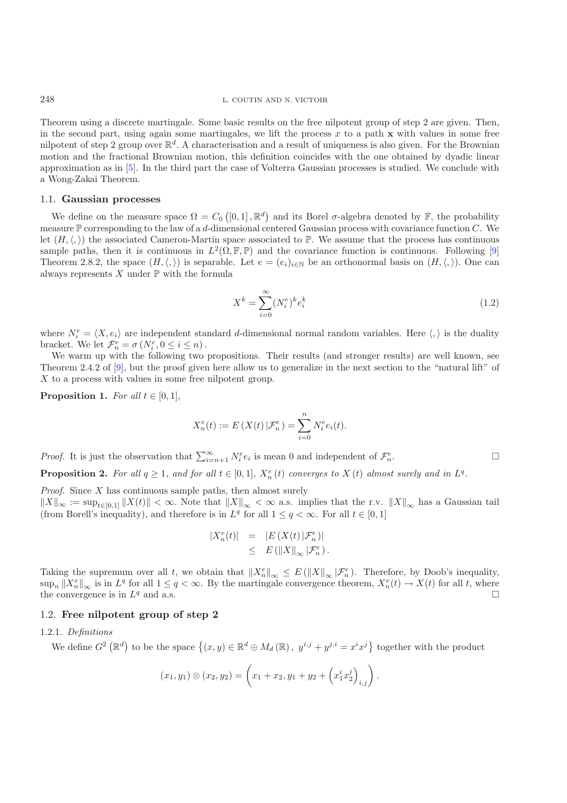Theorem using a discrete martingale. Some basic results on the free nilpotent group of step 2 are given. Then, in the second part, using again some martingales, we lift the process  $x$  to a path  $x$  with values in some free nilpotent of step 2 group over  $\mathbb{R}^d$ . A characterisation and a result of uniqueness is also given. For the Brownian motion and the fractional Brownian motion, this definition coincides with the one obtained by dyadic linear approximation as in [\[5\]](#page-12-3). In the third part the case of Volterra Gaussian processes is studied. We conclude with a Wong-Zakai Theorem.

#### 1.1. **Gaussian processes**

We define on the measure space  $\Omega = C_0([0,1], \mathbb{R}^d)$  and its Borel  $\sigma$ -algebra denoted by  $\mathbb{F}$ , the probability measure  $\mathbb P$  corresponding to the law of a d-dimensional centered Gaussian process with covariance function C. We let  $(H, \langle, \rangle)$  the associated Cameron-Martin space associated to P. We assume that the process has continuous sample paths, then it is continuous in  $L^2(\Omega, \mathbb{F}, \mathbb{P})$  and the covariance function is continuous. Following [\[9](#page-12-5)] Theorem 2.8.2, the space  $(H, \langle, \rangle)$  is separable. Let  $e = (e_i)_{i \in \mathbb{N}}$  be an orthonormal basis on  $(H, \langle, \rangle)$ . One can always represents  $X$  under  $\mathbb P$  with the formula

$$
X^k = \sum_{i=0}^{\infty} (N_i^e)^k e_i^k \tag{1.2}
$$

where  $N_i^e = \langle X, e_i \rangle$  are independent standard d-dimensional normal random variables. Here  $\langle , \rangle$  is the duality bracket. We let  $\mathcal{F}_n^e = \sigma(N_i^e, 0 \leq i \leq n)$ .

We warm up with the following two propositions. Their results (and stronger results) are well known, see Theorem 2.4.2 of [\[9](#page-12-5)], but the proof given here allow us to generalize in the next section to the "natural lift" of X to a process with values in some free nilpotent group.

<span id="page-1-1"></span>**Proposition 1.** *For all*  $t \in [0, 1]$ ,

$$
X_n^e(t) := E(X(t) | \mathcal{F}_n^e) = \sum_{i=0}^n N_i^e e_i(t).
$$

*Proof.* It is just the observation that  $\sum_{i=n+1}^{\infty} N_i^e e_i$  is mean 0 and independent of  $\mathcal{F}_n^e$  $n.$   $\Box$ 

<span id="page-1-0"></span>**Proposition 2.** For all  $q \geq 1$ , and for all  $t \in [0, 1]$ ,  $X_n^e(t)$  converges to  $X(t)$  almost surely and in  $L^q$ .

*Proof.* Since X has continuous sample paths, then almost surely  $||X||_{\infty} := \sup_{t \in [0,1]} ||X(t)|| < \infty.$  Note that  $||X||_{\infty} < \infty$  a.s. implies that the r.v.  $||X||_{\infty}$  has a Gaussian tail (from Borell's inequality), and therefore is in  $L^q$  for all  $1 \leq q < \infty$ . For all  $t \in [0,1]$ 

$$
\begin{array}{rcl} |X_n^e(t)| & = & |E\left(X(t)\,|\mathcal{F}_n^e\right)| \\ & \leq & E\left(\|X\|_\infty\,|\mathcal{F}_n^e\right). \end{array}
$$

Taking the supremum over all t, we obtain that  $||X_n^e||_{\infty} \leq E(||X||_{\infty} |\mathcal{F}_n^e)$ . Therefore, by Doob's inequality,  $\sup_n ||X_n^e||_{\infty}$  is in  $L^q$  for all  $1 \leq q < \infty$ . By the martingale convergence theorem,  $X_n^e(t) \to X(t)$  for all t, where the convergence is in  $L^q$  and a.s.  $\Box$ 

### 1.2. **Free nilpotent group of step 2**

### 1.2.1. *Definitions*

We define  $G^2(\mathbb{R}^d)$  to be the space  $\{(x,y)\in\mathbb{R}^d\oplus M_d(\mathbb{R}), y^{i,j}+y^{j,i}=x^ix^j\}$  together with the product

$$
(x_1, y_1) \otimes (x_2, y_2) = \left(x_1 + x_2, y_1 + y_2 + \left(x_1^i x_2^j\right)_{i,j}\right).
$$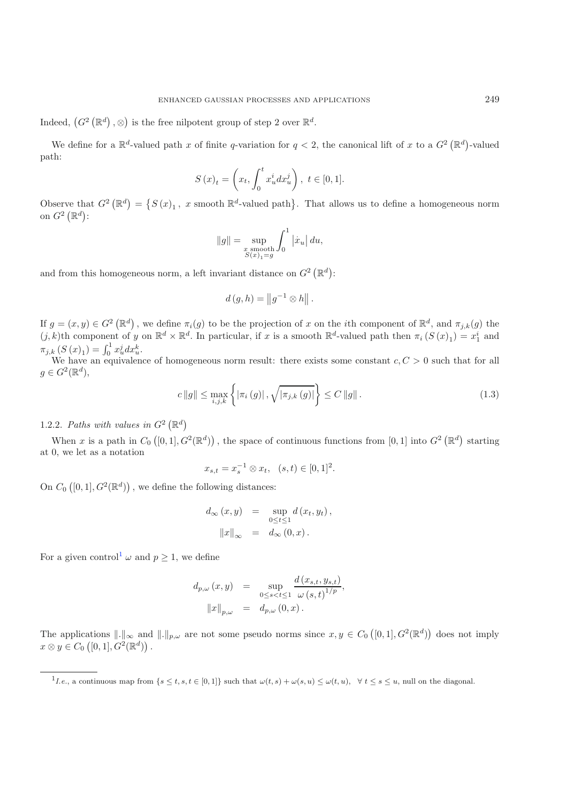Indeed,  $(G^2(\mathbb{R}^d), \otimes)$  is the free nilpotent group of step 2 over  $\mathbb{R}^d$ .

We define for a  $\mathbb{R}^d$ -valued path x of finite q-variation for  $q < 2$ , the canonical lift of x to a  $G^2(\mathbb{R}^d)$ -valued path:

$$
S(x)_t = \left(x_t, \int_0^t x_u^i dx_u^j\right), \ t \in [0, 1].
$$

Observe that  $G^2(\mathbb{R}^d) = \{S(x)_1, x \text{ smooth } \mathbb{R}^d\text{-valued path}\}.$  That allows us to define a homogeneous norm on  $G^2(\mathbb{R}^d)$ :

$$
\|g\|=\sup_{\substack{x \text{ smooth}\\S(x)_1=g}}\int_0^1\left|\dot{x}_u\right|du,
$$

and from this homogeneous norm, a left invariant distance on  $G^2(\mathbb{R}^d)$ :

$$
d(g, h) = ||g^{-1} \otimes h||.
$$

If  $g = (x, y) \in G^2(\mathbb{R}^d)$ , we define  $\pi_i(g)$  to be the projection of x on the *i*th component of  $\mathbb{R}^d$ , and  $\pi_{j,k}(g)$  the  $(j, k)$ th component of y on  $\mathbb{R}^d \times \mathbb{R}^d$ . In particular, if x is a smooth  $\mathbb{R}^d$ -valued path then  $\pi_i(S(x)_1) = x_1^i$  and  $\pi_{j,k}(S(x)_1) = \int_0^1 x_u^j dx_u^k.$ 

We have an equivalence of homogeneous norm result: there exists some constant  $c, C > 0$  such that for all  $g \in G^2(\mathbb{R}^d)$ ,

$$
c \|g\| \le \max_{i,j,k} \left\{ |\pi_i(g)| \, , \sqrt{|\pi_{j,k}(g)|} \right\} \le C \|g\| \, . \tag{1.3}
$$

# 1.2.2. Paths with values in  $G^2(\mathbb{R}^d)$

When x is a path in  $C_0([0,1], G^2(\mathbb{R}^d))$ , the space of continuous functions from  $[0,1]$  into  $G^2(\mathbb{R}^d)$  starting at 0, we let as a notation

$$
x_{s,t} = x_s^{-1} \otimes x_t, \quad (s,t) \in [0,1]^2.
$$

On  $C_0([0,1], G^2(\mathbb{R}^d))$ , we define the following distances:

$$
d_{\infty}(x, y) = \sup_{0 \le t \le 1} d(x_t, y_t),
$$
  

$$
||x||_{\infty} = d_{\infty}(0, x).
$$

<span id="page-2-0"></span>For a given control<sup>[1](#page-2-0)</sup>  $\omega$  and  $p \ge 1$ , we define

$$
d_{p,\omega}(x,y) = \sup_{0 \le s < t \le 1} \frac{d(x_{s,t}, y_{s,t})}{\omega(s,t)^{1/p}},
$$
  

$$
||x||_{p,\omega} = d_{p,\omega}(0,x).
$$

The applications  $\|.\|_{\infty}$  and  $\|.\|_{p,\omega}$  are not some pseudo norms since  $x, y \in C_0([0,1], G^2(\mathbb{R}^d))$  does not imply  $x \otimes y \in C_0([0,1], G^2(\mathbb{R}^d))$ .

<sup>&</sup>lt;sup>1</sup>*I.e.*, a continuous map from  $\{s \le t, s, t \in [0,1]\}$  such that  $\omega(t, s) + \omega(s, u) \le \omega(t, u)$ ,  $\forall t \le s \le u$ , null on the diagonal.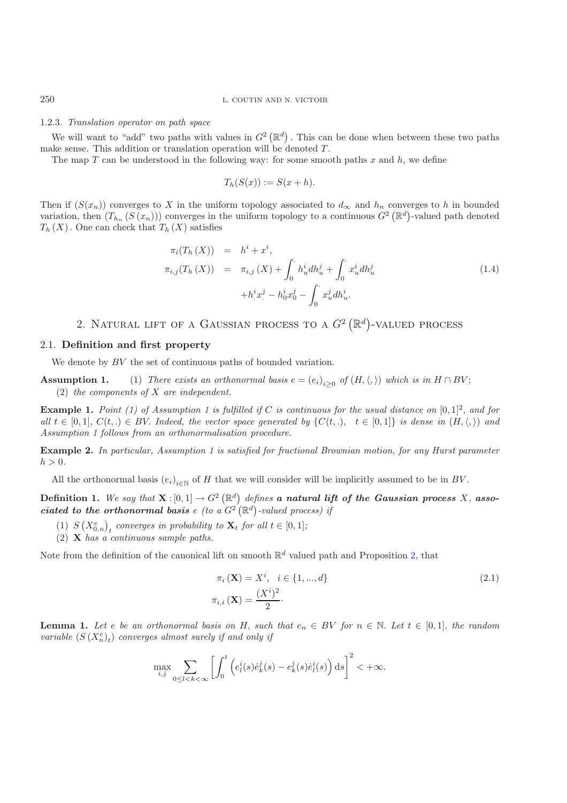# 250 L. COUTIN AND N. VICTOIR

#### 1.2.3. *Translation operator on path space*

We will want to "add" two paths with values in  $G^2(\mathbb{R}^d)$ . This can be done when between these two paths make sense. This addition or translation operation will be denoted  $T$ .

The map T can be understood in the following way: for some smooth paths x and  $h$ , we define

$$
T_h(S(x)) := S(x+h).
$$

Then if  $(S(x_n))$  converges to X in the uniform topology associated to  $d_{\infty}$  and  $h_n$  converges to h in bounded variation, then  $(T_{h_n}(S(x_n)))$  converges in the uniform topology to a continuous  $G^2(\mathbb{R}^d)$ -valued path denoted  $T_h(X)$ . One can check that  $T_h(X)$  satisfies

<span id="page-3-2"></span>
$$
\pi_i(T_h(X)) = h^i + x^i,
$$
  
\n
$$
\pi_{i,j}(T_h(X)) = \pi_{i,j}(X) + \int_0^{\cdot} h_u^i dh_u^j + \int_0^{\cdot} x_u^i dh_u^j
$$
  
\n
$$
+ h^i x^j - h_0^i x_0^j - \int_0^{\cdot} x_u^j dh_u^i.
$$
\n(1.4)

# 2. NATURAL LIFT OF A GAUSSIAN PROCESS TO A  $G^2(\mathbb{R}^d)$ -VALUED PROCESS

#### 2.1. **Definition and first property**

We denote by BV the set of continuous paths of bounded variation.

<span id="page-3-0"></span>**Assumption 1.** (1) *There exists an orthonormal basis*  $e = (e_i)_{i\geq 0}$  *of*  $(H, \langle, \rangle)$  *which is in*  $H \cap BV$ ; (2) *the components of* X *are independent.*

**Example [1](#page-3-0).** *Point* (1) of Assumption 1 is fulfilled if C is continuous for the usual distance on  $[0,1]^2$ , and for *all*  $t \in [0,1], C(t,.) \in BV$ . *Indeed, the vector space generated by*  $\{C(t,.) , t \in [0,1]\}$  *is dense in*  $(H, \langle, \rangle)$  *and Assumption [1](#page-3-0) follows from an orthonormalisation procedure.*

**Example 2.** *In particular, Assumption [1](#page-3-0) is satisfied for fractional Brownian motion, for any Hurst parameter*  $h > 0$ .

All the orthonormal basis  $(e_i)_{i\in\mathbb{N}}$  of H that we will consider will be implicitly assumed to be in BV.

**Definition 1.** We say that  $\mathbf{X} : [0,1] \to G^2(\mathbb{R}^d)$  defines **a natural lift of the Gaussian process** X, **asso***ciated to the orthonormal basis e (to a*  $G^2(\mathbb{R}^d)$ *-valued process) if* 

- (1)  $S(X_{0,n}^e)_t$  *converges in probability to*  $\mathbf{X}_t$  *for all*  $t \in [0,1]$ *;*
- (2) **X** *has a continuous sample paths.*

Note from the definition of the canonical lift on smooth  $\mathbb{R}^d$  valued path and Proposition [2,](#page-1-0) that

<span id="page-3-1"></span>
$$
\pi_i(\mathbf{X}) = X^i, \quad i \in \{1, ..., d\}
$$
\n
$$
\pi_{i,i}(\mathbf{X}) = \frac{(X^i)^2}{2}.
$$
\n(2.1)

<span id="page-3-3"></span>**Lemma 1.** Let e be an orthonormal basis on H, such that  $e_n \in BV$  for  $n \in \mathbb{N}$ . Let  $t \in [0,1]$ , the random *variable*  $(S(X_n^e)_t)$  *converges almost surely if and only if* 

$$
\max_{i,j} \sum_{0 \le l < k < \infty} \left[ \int_0^t \left( e^i_l(s) \dot{e}^j_k(s) - e^j_k(s) \dot{e}^i_l(s) \right) \mathrm{d}s \right]^2 < +\infty.
$$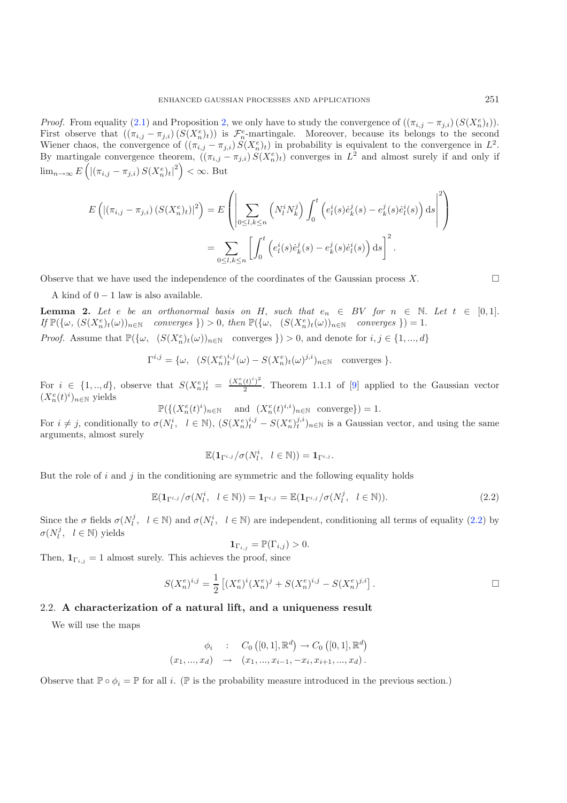*Proof.* From equality [\(2.1\)](#page-3-1) and Proposition [2,](#page-1-0) we only have to study the convergence of  $((\pi_{i,j} - \pi_{j,i}) (S(X_n^e))$ . First observe that  $((\pi_{i,j} - \pi_{j,i})(S(X_n^e)_t))$  is  $\mathcal{F}_n^e$ -martingale. Moreover, because its belongs to the second Wiener chaos, the convergence of  $((\pi_{i,j} - \pi_{j,i}) S(X_n^e)_t)$  in probability is equivalent to the convergence in  $L^2$ . By martingale convergence theorem,  $((\pi_{i,j} - \pi_{j,i}) S(X_n^e)_t)$  converges in  $L^2$  and almost surely if and only if  $\lim_{n\to\infty} E\left(\left|\left(\pi_{i,j}-\pi_{j,i}\right)S(X_n^e)_t\right|^2\right)<\infty.$  But

$$
E\left(\left|\left(\pi_{i,j}-\pi_{j,i}\right)(S(X_n^e)_t)\right|^2\right) = E\left(\left|\sum_{0\leq l,k\leq n} \left(N_l^i N_k^j\right) \int_0^t \left(e_l^i(s)\dot{e}_k^j(s) - e_k^j(s)\dot{e}_l^i(s)\right) \mathrm{d}s\right|^2\right)
$$

$$
= \sum_{0\leq l,k\leq n} \left[\int_0^t \left(e_l^i(s)\dot{e}_k^j(s) - e_k^j(s)\dot{e}_l^i(s)\right) \mathrm{d}s\right]^2.
$$

Observe that we have used the independence of the coordinates of the Gaussian process  $X$ .

A kind of  $0 - 1$  law is also available.

**Lemma 2.** Let e be an orthonormal basis on H, such that  $e_n \in BV$  for  $n \in \mathbb{N}$ . Let  $t \in [0,1]$ .  $If \mathbb{P}(\{\omega, (S(X_n^e)_t(\omega))_{n\in\mathbb{N}} \text{ converges }\}) > 0, \text{ then } \mathbb{P}(\{\omega, (S(X_n^e)_t(\omega))_{n\in\mathbb{N}} \text{ converges }\}) = 1.$ *Proof.* Assume that  $\mathbb{P}(\{\omega, (S(X_n^e)_t(\omega))_{n\in\mathbb{N}} \text{ converges }\}) > 0$ , and denote for  $i, j \in \{1, ..., d\}$ 

$$
\Gamma^{i,j} = \{ \omega, \ \ (S(X_n^e)^{i,j}_t(\omega) - S(X_n^e)_t(\omega)^{j,i})_{n \in \mathbb{N}} \ \text{ converges } \}.
$$

For  $i \in \{1, ..., d\}$ , observe that  $S(X_n^e)^i = \frac{(X_n^e(t)^i)^2}{2}$ . Theorem 1.1.1 of [\[9\]](#page-12-5) applied to the Gaussian vector  $(X_n^e(t)^i)_{n\in\mathbb{N}}$  yields

$$
\mathbb{P}(\{(X_n^e(t)^i)_{n\in\mathbb{N}}\quad\text{ and }\ (X_n^e(t)^{i,i})_{n\in\mathbb{N}}\text{ converge}\})=1.
$$

For  $i \neq j$ , conditionally to  $\sigma(N_l^i, l \in \mathbb{N})$ ,  $(S(X_n^e)_t^{i,j} - S(X_n^e)_t^{j,i})_{n \in \mathbb{N}}$  is a Gaussian vector, and using the same arguments, almost surely

$$
\mathbb{E}(\mathbf{1}_{\Gamma^{i,j}}/\sigma(N_l^i, \quad l \in \mathbb{N})) = \mathbf{1}_{\Gamma^{i,j}}.
$$

But the role of i and j in the conditioning are symmetric and the following equality holds

$$
\mathbb{E}(\mathbf{1}_{\Gamma^{i,j}}/\sigma(N_l^i, l \in \mathbb{N})) = \mathbf{1}_{\Gamma^{i,j}} = \mathbb{E}(\mathbf{1}_{\Gamma^{i,j}}/\sigma(N_l^j, l \in \mathbb{N})).
$$
\n(2.2)

Since the  $\sigma$  fields  $\sigma(N_i^j, l \in \mathbb{N})$  and  $\sigma(N_i^i, l \in \mathbb{N})$  are independent, conditioning all terms of equality [\(2.2\)](#page-4-0) by  $\sigma(N_l^j, l \in \mathbb{N})$  yields

$$
\mathbf{1}_{\Gamma_{i,j}} = \mathbb{P}(\Gamma_{i,j}) > 0.
$$

Then,  $\mathbf{1}_{\Gamma_{i,j}} = 1$  almost surely. This achieves the proof, since

$$
S(X_n^e)^{i,j} = \frac{1}{2} \left[ (X_n^e)^i (X_n^e)^j + S(X_n^e)^{i,j} - S(X_n^e)^{j,i} \right].
$$

#### 2.2. **A characterization of a natural lift, and a uniqueness result**

We will use the maps

$$
\phi_i : C_0([0,1], \mathbb{R}^d) \to C_0([0,1], \mathbb{R}^d)
$$
  

$$
(x_1, ..., x_d) \to (x_1, ..., x_{i-1}, -x_i, x_{i+1}, ..., x_d).
$$

<span id="page-4-1"></span>Observe that  $\mathbb{P} \circ \phi_i = \mathbb{P}$  for all i. ( $\mathbb{P}$  is the probability measure introduced in the previous section.)

<span id="page-4-0"></span> $\Box$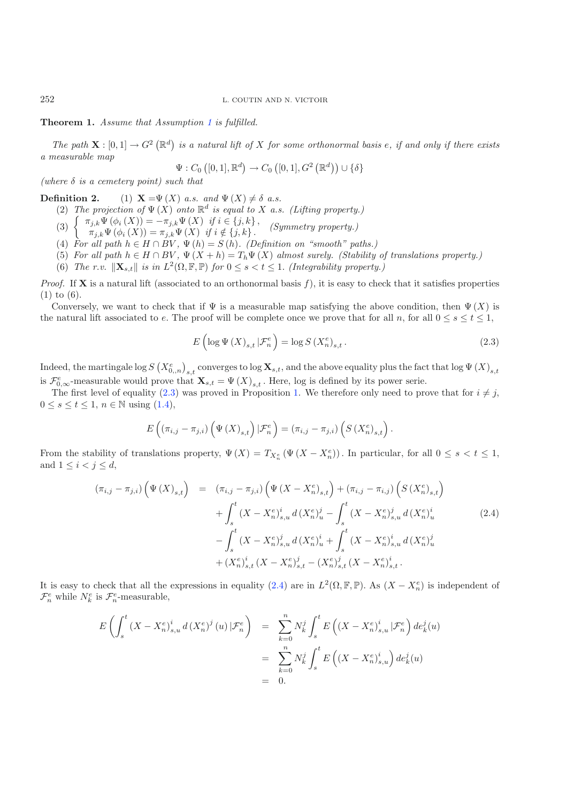#### **Theorem 1.** *Assume that Assumption [1](#page-3-0) is fulfilled.*

*The path*  $\mathbf{X} : [0,1] \to G^2(\mathbb{R}^d)$  is a natural lift of X for some orthonormal basis e, if and only if there exists *a measurable map*

<span id="page-5-0"></span>
$$
\Psi: C_0\left([0,1], \mathbb{R}^d\right) \to C_0\left([0,1], G^2\left(\mathbb{R}^d\right)\right) \cup \{\delta\}
$$

*(where* δ *is a cemetery point) such that*

**Definition 2.** (1)  $\mathbf{X} = \Psi(X)$  *a.s. and*  $\Psi(X) \neq \delta$  *a.s.* 

(2) *The projection of*  $\Psi(X)$  *onto*  $\mathbb{R}^d$  *is equal to* X *a.s.* (Lifting property.)

(3)  $\begin{cases} \pi_{j,k} \Psi(\phi_i(X)) = -\pi_{j,k} \Psi(X) & \text{if } i \in \{j,k\}, \\ \pi_{j,k} \Psi(\phi_i(X)) = \pi_{j,k} \Psi(X) & \text{if } i \notin \{j,k\}. \end{cases}$  (Symmetry property.)

- 
- (4) For all path  $h \in H \cap BV$ ,  $\Psi(h) = S(h)$ *. (Definition on "smooth" paths.)*
- (5) For all path  $h \in H \cap BV$ ,  $\Psi(X + h) = T_h \Psi(X)$  almost surely. (Stability of translations property.)
- (6) *The r.v.*  $\|\mathbf{X}_{s,t}\|$  *is in*  $L^2(\Omega, \mathbb{F}, \mathbb{P})$  *for*  $0 \leq s \leq t \leq 1$ . *(Integrability property.)*

*Proof.* If **X** is a natural lift (associated to an orthonormal basis f), it is easy to check that it satisfies properties (1) to (6).

Conversely, we want to check that if  $\Psi$  is a measurable map satisfying the above condition, then  $\Psi(X)$  is the natural lift associated to e. The proof will be complete once we prove that for all  $n$ , for all  $0 \le s \le t \le 1$ ,

$$
E\left(\log \Psi\left(X\right)_{s,t}|\mathcal{F}_n^e\right) = \log S\left(X_n^e\right)_{s,t}.\tag{2.3}
$$

 $\rm{Indeed, the martingale log}\,S\left(X_{0,,n}^{e}\right)_{s,t}$  converges to  $\log{\bf X}_{s,t},$  and the above equality plus the fact that  $\log\Psi\left(X\right)_{s,t}$ is  $\mathcal{F}_{0,\infty}^e$ -measurable would prove that  $\mathbf{X}_{s,t} = \Psi(X)_{s,t}$ . Here, log is defined by its power serie.

The first level of equality [\(2.3\)](#page-5-0) was proved in Proposition [1.](#page-1-1) We therefore only need to prove that for  $i \neq j$ ,  $0 \leq s \leq t \leq 1, n \in \mathbb{N}$  using  $(1.4)$ ,

$$
E\left((\pi_{i,j}-\pi_{j,i})\left(\Psi\left(X\right)_{s,t}\right)|\mathcal{F}_{n}^{e}\right)=(\pi_{i,j}-\pi_{j,i})\left(S\left(X_{n}^{e}\right)_{s,t}\right).
$$

<span id="page-5-1"></span>From the stability of translations property,  $\Psi(X) = T_{X_n^e}(\Psi(X - X_n^e))$ . In particular, for all  $0 \le s < t \le 1$ , and  $1 \leq i \leq j \leq d$ ,

$$
(\pi_{i,j} - \pi_{j,i}) \left( \Psi(X)_{s,t} \right) = (\pi_{i,j} - \pi_{j,i}) \left( \Psi(X - X_n^e)_{s,t} \right) + (\pi_{i,j} - \pi_{i,j}) \left( S(X_n^e)_{s,t} \right)
$$

$$
+ \int_s^t (X - X_n^e)_{s,u}^i d(X_n^e)_{u}^j - \int_s^t (X - X_n^e)_{s,u}^i d(X_n^e)_{u}^i
$$

$$
- \int_s^t (X - X_n^e)_{s,u}^j d(X_n^e)_{u}^i + \int_s^t (X - X_n^e)_{s,u}^i d(X_n^e)_{u}^j
$$

$$
+ (X_n^e)_{s,t}^i (X - X_n^e)_{s,t}^j - (X_n^e)_{s,t}^i (X - X_n^e)_{s,t}^i.
$$
 (2.4)

It is easy to check that all the expressions in equality [\(2.4\)](#page-5-1) are in  $L^2(\Omega, \mathbb{F}, \mathbb{P})$ . As  $(X - X_n^e)$  is independent of  $\mathcal{F}_n^e$  while  $N_k^e$  is  $\mathcal{F}_n^e$ -measurable,

$$
E\left(\int_{s}^{t} (X - X_{n}^{e})_{s,u}^{i} d(X_{n}^{e})^{j}(u) | \mathcal{F}_{n}^{e}\right) = \sum_{k=0}^{n} N_{k}^{j} \int_{s}^{t} E\left((X - X_{n}^{e})_{s,u}^{i} | \mathcal{F}_{n}^{e}\right) de_{k}^{j}(u)
$$
  

$$
= \sum_{k=0}^{n} N_{k}^{j} \int_{s}^{t} E\left((X - X_{n}^{e})_{s,u}^{i}\right) de_{k}^{j}(u)
$$
  

$$
= 0.
$$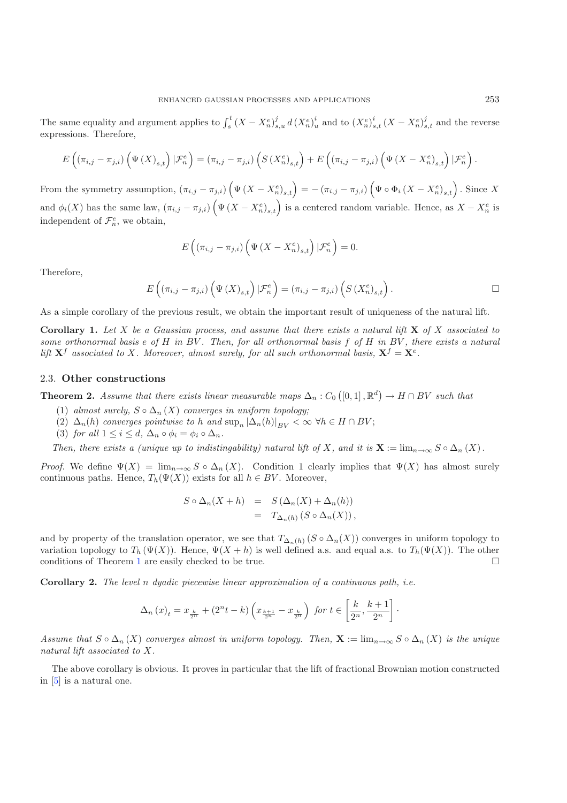The same equality and argument applies to  $\int_s^t (X - X_n^e)_{s,u}^j d(X_n^e)_{u}^i$  and to  $(X_n^e)_{s,t}^i (X - X_n^e)_{s,t}^j$  and the reverse expressions. Therefore,

$$
E\left((\pi_{i,j}-\pi_{j,i})\left(\Psi\left(X\right)_{s,t}\right)|\mathcal{F}_{n}^{e}\right)=(\pi_{i,j}-\pi_{j,i})\left(S\left(X_{n}^{e}\right)_{s,t}\right)+E\left((\pi_{i,j}-\pi_{j,i})\left(\Psi\left(X-X_{n}^{e}\right)_{s,t}\right)|\mathcal{F}_{n}^{e}\right)
$$

From the symmetry assumption,  $(\pi_{i,j} - \pi_{j,i}) (\Psi(X - X_n^e)_{s,t}) = -(\pi_{i,j} - \pi_{j,i}) (\Psi \circ \Phi_i (X - X_n^e)_{s,t}).$  Since X and  $\phi_i(X)$  has the same law,  $(\pi_{i,j} - \pi_{j,i}) \left( \Psi(X - X_n^e)_{s,t} \right)$  is a centered random variable. Hence, as  $X - X_n^e$  is independent of  $\mathcal{F}_n^e$ , we obtain,

$$
E\left((\pi_{i,j}-\pi_{j,i})\left(\Psi\left(X-X_n^e\right)_{s,t}\right)|\mathcal{F}_n^e\right)=0.
$$

Therefore,

$$
E\left((\pi_{i,j}-\pi_{j,i})\left(\Psi\left(X\right)_{s,t}\right)|\mathcal{F}_{n}^{e}\right)=(\pi_{i,j}-\pi_{j,i})\left(S\left(X_{n}^{e}\right)_{s,t}\right).
$$

As a simple corollary of the previous result, we obtain the important result of uniqueness of the natural lift.

**Corollary 1.** *Let* X *be a Gaussian process, and assume that there exists a natural lift* **X** *of* X *associated to some orthonormal basis* e *of* H *in* BV *. Then, for all orthonormal basis* f *of* H *in* BV *, there exists a natural lift*  $X^f$  *associated to* X*.* Moreover, almost surely, for all such orthonormal basis,  $X^f = X^e$ .

#### <span id="page-6-0"></span>2.3. **Other constructions**

**Theorem 2.** Assume that there exists linear measurable maps  $\Delta_n$ :  $C_0([0,1], \mathbb{R}^d) \to H \cap BV$  such that

- (1) *almost surely,*  $S \circ \Delta_n(X)$  *converges in uniform topology;*
- (2)  $\Delta_n(h)$  *converges pointwise to* h *and*  $\sup_n |\Delta_n(h)|_{BV} < \infty \ \forall h \in H \cap BV;$
- (3) *for all*  $1 \leq i \leq d$ ,  $\Delta_n \circ \phi_i = \phi_i \circ \Delta_n$ .

*Then, there exists a (unique up to indistingability) natural lift of* X, and it is  $X := \lim_{n \to \infty} S \circ \Delta_n(X)$ .

*Proof.* We define  $\Psi(X) = \lim_{n\to\infty} S \circ \Delta_n(X)$ . Condition 1 clearly implies that  $\Psi(X)$  has almost surely continuous paths. Hence,  $T_h(\Psi(X))$  exists for all  $h \in BV$ . Moreover,

$$
S \circ \Delta_n(X+h) = S(\Delta_n(X) + \Delta_n(h))
$$
  
=  $T_{\Delta_n(h)}(S \circ \Delta_n(X)),$ 

and by property of the translation operator, we see that  $T_{\Delta_n(h)}(S \circ \Delta_n(X))$  converges in uniform topology to variation topology to  $T_h(\Psi(X))$ . Hence,  $\Psi(X+h)$  is well defined a.s. and equal a.s. to  $T_h(\Psi(X))$ . The other conditions of Theorem [1](#page-4-1) are easily checked to be true.  $\Box$ 

**Corollary 2.** *The level* n *dyadic piecewise linear approximation of a continuous path, i.e.*

$$
\Delta_n(x)_t = x_{\frac{k}{2^n}} + (2^n t - k) \left( x_{\frac{k+1}{2^n}} - x_{\frac{k}{2^n}} \right) \text{ for } t \in \left[ \frac{k}{2^n}, \frac{k+1}{2^n} \right].
$$

*Assume that*  $S \circ \Delta_n(X)$  *converges almost in uniform topology. Then,*  $\mathbf{X} := \lim_{n \to \infty} S \circ \Delta_n(X)$  *is the unique natural lift associated to* X*.*

The above corollary is obvious. It proves in particular that the lift of fractional Brownian motion constructed in [\[5\]](#page-12-3) is a natural one.

.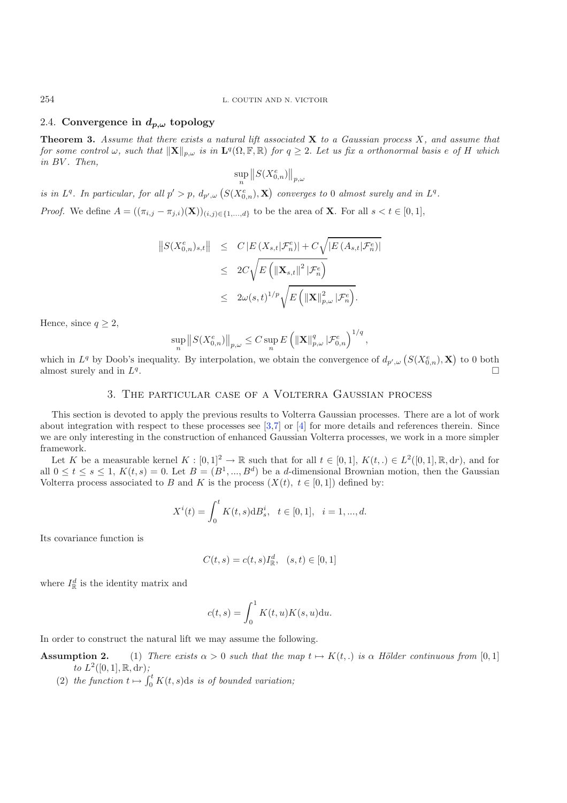# 2.4. **Convergence in**  $d_{p,\omega}$  **topology**

**Theorem 3.** *Assume that there exists a natural lift associated* **X** *to a Gaussian process* X*, and assume that for some control*  $\omega$ , such that  $\|\mathbf{X}\|_{p,\omega}$  *is in*  $\mathbf{L}^q(\Omega,\mathbb{F},\mathbb{R})$  *for*  $q \geq 2$ . Let us fix a orthonormal basis e of H which *in* BV *. Then,*

$$
\sup_n \left\Vert S(X_{0,n}^e) \right\Vert_{p,\omega}
$$

*is in*  $L^q$ . In particular, for all  $p' > p$ ,  $d_{p',\omega} (S(X_{0,n}^e), \mathbf{X})$  converges to 0 almost surely and in  $L^q$ .

*Proof.* We define  $A = ((\pi_{i,j} - \pi_{j,i})(\mathbf{X}))_{(i,j) \in \{1,\ldots,d\}}$  to be the area of **X**. For all  $s < t \in [0,1]$ ,

$$
\begin{array}{rcl} \left\|S(X_{0,n}^{e})_{s,t}\right\| & \leq & C\left|E\left(X_{s,t}|\mathcal{F}_{n}^{e}\right)\right|+C\sqrt{\left|E\left(A_{s,t}|\mathcal{F}_{n}^{e}\right)\right|} \\ \\ & \leq & 2C\sqrt{E\left(\left\|\mathbf{X}_{s,t}\right\|^{2}|\mathcal{F}_{n}^{e}\right)} \\ \\ & \leq & 2\omega(s,t)^{1/p}\sqrt{E\left(\left\|\mathbf{X}\right\|_{p,\omega}^{2}|\mathcal{F}_{n}^{e}\right)}.\end{array}
$$

Hence, since  $q \geq 2$ ,

$$
\sup_n \left\Vert S(X_{0,n}^e) \right\Vert_{p,\omega} \leq C \sup_n E\left(\Vert {\bf X} \Vert_{p,\omega}^q\, \vert \mathcal{F}_{0,n}^e\right)^{1/q},
$$

which in  $L^q$  by Doob's inequality. By interpolation, we obtain the convergence of  $d_{p',\omega}\left(S(X_{0,n}^e), \mathbf{X}\right)$  to 0 both almost surely and in  $L^q$ .

# 3. The particular case of a Volterra Gaussian process

This section is devoted to apply the previous results to Volterra Gaussian processes. There are a lot of work about integration with respect to these processes see  $[3,7]$  $[3,7]$  $[3,7]$  or  $[4]$  for more details and references therein. Since we are only interesting in the construction of enhanced Gaussian Volterra processes, we work in a more simpler framework.

Let K be a measurable kernel  $K : [0,1]^2 \to \mathbb{R}$  such that for all  $t \in [0,1]$ ,  $K(t,.) \in L^2([0,1], \mathbb{R}, dr)$ , and for all  $0 \le t \le s \le 1$ ,  $K(t,s)=0$ . Let  $B=(B^1,...,B^d)$  be a d-dimensional Brownian motion, then the Gaussian Volterra process associated to B and K is the process  $(X(t), t \in [0,1])$  defined by:

$$
X^{i}(t) = \int_{0}^{t} K(t, s) d B_{s}^{i}, \quad t \in [0, 1], \quad i = 1, ..., d.
$$

Its covariance function is

$$
C(t,s) = c(t,s)I_{\mathbb{R}}^d, \ (s,t) \in [0,1]
$$

where  $I_{\mathbb{R}}^{d}$  is the identity matrix and

$$
c(t,s) = \int_0^1 K(t,u)K(s,u) \mathrm{d}u.
$$

<span id="page-7-0"></span>In order to construct the natural lift we may assume the following.

- **Assumption 2.** (1) *There exists*  $\alpha > 0$  *such that the map*  $t \mapsto K(t,.)$  *is*  $\alpha$  *Hölder continuous from* [0,1] *to*  $L^2([0,1], \mathbb{R}, dr)$ ;
	- (2) the function  $t \mapsto \int_0^t K(t,s)ds$  is of bounded variation;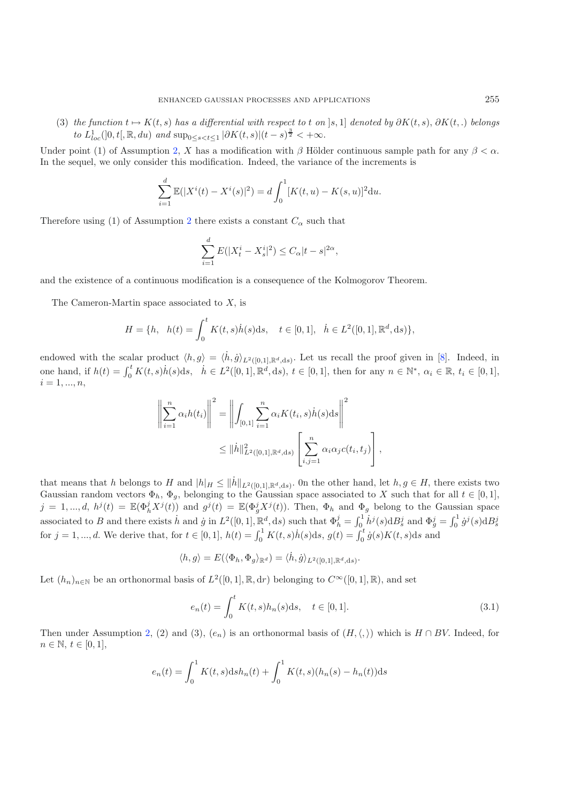(3) *the function*  $t \mapsto K(t, s)$  *has a differential with respect to* t *on* [s, 1] *denoted by*  $\partial K(t, s)$ ,  $\partial K(t, .)$  *belongs to*  $L_{loc}^1(]0, t[, \mathbb{R}, du)$  *and*  $\sup_{0 \le s < t \le 1} |\partial K(t, s)| (t - s)^{\frac{3}{2}} < +\infty$ .

Under point (1) of Assumption [2,](#page-7-0) X has a modification with  $\beta$  Hölder continuous sample path for any  $\beta < \alpha$ . In the sequel, we only consider this modification. Indeed, the variance of the increments is

$$
\sum_{i=1}^{d} \mathbb{E}(|X^{i}(t) - X^{i}(s)|^{2}) = d \int_{0}^{1} [K(t, u) - K(s, u)]^{2} du.
$$

Therefore using (1) of Assumption [2](#page-7-0) there exists a constant  $C_{\alpha}$  such that

$$
\sum_{i=1}^{d} E(|X_t^i - X_s^i|^2) \le C_{\alpha} |t - s|^{2\alpha},
$$

and the existence of a continuous modification is a consequence of the Kolmogorov Theorem.

The Cameron-Martin space associated to  $X$ , is

$$
H = \{h, \ h(t) = \int_0^t K(t,s)\dot{h}(s)ds, \ t \in [0,1], \ \dot{h} \in L^2([0,1], \mathbb{R}^d, ds)\},\
$$

endowed with the scalar product  $\langle h, g \rangle = \langle \dot{h}, \dot{g} \rangle_{L^2([0,1], \mathbb{R}^d, ds)}$ . Let us recall the proof given in [\[8\]](#page-12-9). Indeed, in one hand, if  $h(t) = \int_0^t K(t, s) \dot{h}(s) ds$ ,  $\dot{h} \in L^2([0, 1], \mathbb{R}^d, ds)$ ,  $t \in [0, 1]$ , then for any  $n \in \mathbb{N}^*$ ,  $\alpha_i \in \mathbb{R}$ ,  $t_i \in [0, 1]$ ,  $i = 1, ..., n,$ 

$$
\left\| \sum_{i=1}^{n} \alpha_{i} h(t_{i}) \right\|^{2} = \left\| \int_{[0,1]} \sum_{i=1}^{n} \alpha_{i} K(t_{i}, s) \dot{h}(s) \, ds \right\|^{2}
$$

$$
\leq \| \dot{h} \|_{L^{2}([0,1], \mathbb{R}^{d}, \text{d}s)}^{2} \left[ \sum_{i,j=1}^{n} \alpha_{i} \alpha_{j} c(t_{i}, t_{j}) \right],
$$

that means that h belongs to H and  $|h|_H \le ||\dot{h}||_{L^2([0,1],\mathbb{R}^d,\mathrm{d}s)}$ . On the other hand, let  $h, g \in H$ , there exists two Gaussian random vectors  $\Phi_h$ ,  $\Phi_g$ , belonging to the Gaussian space associated to X such that for all  $t \in [0,1]$ ,  $j = 1, ..., d$ ,  $h^{j}(t) = \mathbb{E}(\Phi_{h}^{j}X^{j}(t))$  and  $g^{j}(t) = \mathbb{E}(\Phi_{g}^{j}X^{j}(t))$ . Then,  $\Phi_{h}$  and  $\Phi_{g}$  belong to the Gaussian space associated to B and there exists h and  $\dot{g}$  in  $L^2([0,1], \mathbb{R}^d, ds)$  such that  $\Phi_h^j = \int_0^1 h^j(s) dB_s^j$  and  $\Phi_g^j = \int_0^1 \dot{g}^j(s) dB_s^j$ for  $j = 1, ..., d$ . We derive that, for  $t \in [0, 1]$ ,  $h(t) = \int_0^1 K(t, s) \dot{h}(s) ds$ ,  $g(t) = \int_0^t \dot{g}(s) K(t, s) ds$  and

<span id="page-8-0"></span>
$$
\langle h, g \rangle = E(\langle \Phi_h, \Phi_g \rangle_{\mathbb{R}^d}) = \langle \dot{h}, \dot{g} \rangle_{L^2([0,1], \mathbb{R}^d, ds)}.
$$

Let  $(h_n)_{n\in\mathbb{N}}$  be an orthonormal basis of  $L^2([0,1], \mathbb{R}, dr)$  belonging to  $C^\infty([0,1], \mathbb{R})$ , and set

$$
e_n(t) = \int_0^t K(t, s) h_n(s) \, \mathrm{d} s, \quad t \in [0, 1]. \tag{3.1}
$$

Then under Assumption [2,](#page-7-0) (2) and (3),  $(e_n)$  is an orthonormal basis of  $(H, \langle, \rangle)$  which is  $H \cap BV$ . Indeed, for  $n \in \mathbb{N}, t \in [0, 1],$ 

$$
e_n(t) = \int_0^1 K(t,s) \mathrm{d} s h_n(t) + \int_0^1 K(t,s) (h_n(s) - h_n(t)) \mathrm{d} s
$$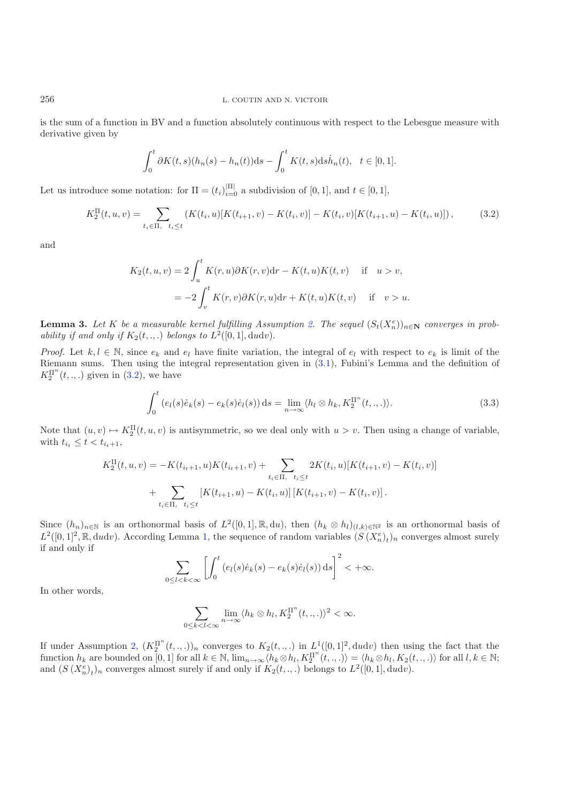is the sum of a function in BV and a function absolutely continuous with respect to the Lebesgue measure with derivative given by

<span id="page-9-0"></span>
$$
\int_0^t \partial K(t,s)(h_n(s) - h_n(t))ds - \int_0^t K(t,s)ds\dot{h}_n(t), \ \ t \in [0,1].
$$

Let us introduce some notation: for  $\Pi = (t_i)_{i=0}^{|\Pi|}$  a subdivision of [0, 1], and  $t \in [0, 1]$ ,

$$
K_2^{\Pi}(t, u, v) = \sum_{t_i \in \Pi, \ t_i \le t} (K(t_i, u)[K(t_{i+1}, v) - K(t_i, v)] - K(t_i, v)[K(t_{i+1}, u) - K(t_i, u)]), \tag{3.2}
$$

and

$$
K_2(t, u, v) = 2 \int_u^t K(r, u) \partial K(r, v) dr - K(t, u) K(t, v) \quad \text{if} \quad u > v,
$$
  
= 
$$
-2 \int_v^t K(r, v) \partial K(r, u) dr + K(t, u) K(t, v) \quad \text{if} \quad v > u.
$$

**Lemma 3.** *Let* K *be a measurable kernel fulfilling Assumption [2.](#page-7-0) The sequel*  $(S_t(X_n^e))_{n\in\mathbb{N}}$  *converges in probability if and only if*  $K_2(t, \ldots)$  *belongs to*  $L^2([0, 1], \text{d}u\text{d}v)$ .

*Proof.* Let  $k, l \in \mathbb{N}$ , since  $e_k$  and  $e_l$  have finite variation, the integral of  $e_l$  with respect to  $e_k$  is limit of the Riemann sums. Then using the integral representation given in [\(3.1\)](#page-8-0), Fubini's Lemma and the definition of  $K_2^{\Pi^n}(t,.,.)$  given in [\(3.2\)](#page-9-0), we have

$$
\int_0^t \left(e_l(s)\dot{e}_k(s) - e_k(s)\dot{e}_l(s)\right)ds = \lim_{n \to \infty} \langle h_l \otimes h_k, K_2^{\Pi^n}(t,.,.)\rangle.
$$
\n(3.3)

Note that  $(u, v) \mapsto K_2^{\Pi}(t, u, v)$  is antisymmetric, so we deal only with  $u > v$ . Then using a change of variable, with  $t_{i_t} \leq t < t_{i_t+1}$ ,

$$
K_2^{\Pi}(t, u, v) = -K(t_{i_t+1}, u)K(t_{i_t+1}, v) + \sum_{t_i \in \Pi, t_i \le t} 2K(t_i, u)[K(t_{i+1}, v) - K(t_i, v)] + \sum_{t_i \in \Pi, t_i \le t} [K(t_{i+1}, u) - K(t_i, u)][K(t_{i+1}, v) - K(t_i, v)].
$$

Since  $(h_n)_{n\in\mathbb{N}}$  is an orthonormal basis of  $L^2([0,1], \mathbb{R}, du)$ , then  $(h_k \otimes h_l)_{(l,k)\in\mathbb{N}^2}$  is an orthonormal basis of  $L^2([0,1]^2,\mathbb{R}, \text{d} u \text{d} v)$ . According Lemma [1,](#page-3-3) the sequence of random variables  $(S(X_n^e)_t)_n$  converges almost surely if and only if

$$
\sum_{0\leq l
$$

In other words,

$$
\sum_{0 \leq k < l < \infty} \lim_{n \to \infty} \langle h_k \otimes h_l, K_2^{\Pi^n}(t, \ldots) \rangle^2 < \infty.
$$

If under Assumption [2,](#page-7-0)  $(K_2^{\Pi^n}(t, ., .))_n$  converges to  $K_2(t, ., .)$  in  $L^1([0, 1]^2, du dv)$  then using the fact that the function  $h_k$  are bounded on [0, 1] for all  $k \in \mathbb{N}$ ,  $\lim_{n\to\infty} \langle h_k \otimes h_l, K_2^{\Pi^n}(t, \ldots) \rangle = \langle h_k \otimes h_l, K_2(t, \ldots) \rangle$  for all  $l, k \in \mathbb{N}$ ; and  $(S(X_n^e)_t)_n$  converges almost surely if and only if  $K_2(t, \ldots)$  belongs to  $L^2([0, 1], du dv)$ .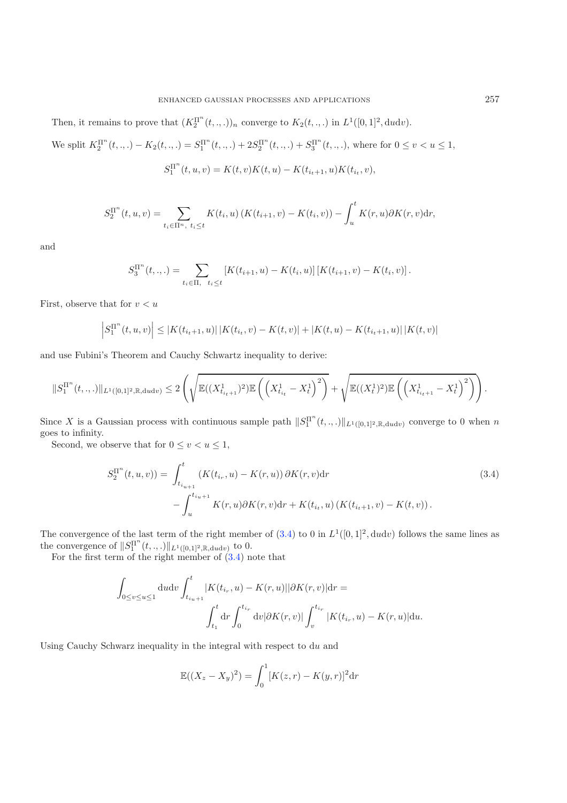Then, it remains to prove that  $(K_2^{\Pi^n}(t, ., .))_n$  converge to  $K_2(t, ., .)$  in  $L^1([0, 1]^2, \text{d}u\text{d}v)$ .

We split  $K_2^{\Pi^n}(t, \ldots) - K_2(t, \ldots) = S_1^{\Pi^n}(t, \ldots) + 2S_2^{\Pi^n}(t, \ldots) + S_3^{\Pi^n}(t, \ldots)$ , where for  $0 \le v < u \le 1$ ,

$$
S_1^{\Pi^n}(t, u, v) = K(t, v)K(t, u) - K(t_{i_t+1}, u)K(t_{i_t}, v),
$$

$$
S_2^{\Pi^n}(t, u, v) = \sum_{t_i \in \Pi^n, t_i \le t} K(t_i, u) \left( K(t_{i+1}, v) - K(t_i, v) \right) - \int_u^t K(r, u) \partial K(r, v) dr,
$$

and

<span id="page-10-0"></span>
$$
S_3^{\Pi^n}(t,.,.) = \sum_{t_i \in \Pi, t_i \le t} \left[ K(t_{i+1}, u) - K(t_i, u) \right] \left[ K(t_{i+1}, v) - K(t_i, v) \right].
$$

First, observe that for  $v < u$ 

$$
\left| S_1^{\Pi^n}(t, u, v) \right| \leq \left| K(t_{i_t+1}, u) \right| \left| K(t_{i_t}, v) - K(t, v) \right| + \left| K(t, u) - K(t_{i_t+1}, u) \right| \left| K(t, v) \right|
$$

and use Fubini's Theorem and Cauchy Schwartz inequality to derive:

$$
\|S_1^{\Pi^n}(t,\ldots)\|_{L^1([0,1]^2,\mathbb{R},\text{d}udv)} \leq 2\left(\sqrt{\mathbb{E}((X^1_{t_{i_t+1}})^2)\mathbb{E}\left(\left(X^1_{t_{i_t}}-X^1_t\right)^2\right)}+\sqrt{\mathbb{E}((X^1_t)^2)\mathbb{E}\left(\left(X^1_{t_{i_t+1}}-X^1_t\right)^2\right)}\right).
$$

Since X is a Gaussian process with continuous sample path  $||S_1^{\Pi^n}(t, \ldots)||_{L^1([0,1]^2,\mathbb{R}, \text{d}udv)}$  converge to 0 when n goes to infinity.

Second, we observe that for  $0 \le v \le u \le 1$ ,

$$
S_2^{\Pi^n}(t, u, v)) = \int_{t_{i_{u+1}}}^t (K(t_{i_r}, u) - K(r, u)) \, \partial K(r, v) \, dr
$$
\n
$$
- \int_u^{t_{i_{u+1}}} K(r, u) \partial K(r, v) \, dr + K(t_{i_t}, u) \left( K(t_{i_t+1}, v) - K(t, v) \right).
$$
\n(3.4)

The convergence of the last term of the right member of  $(3.4)$  to 0 in  $L^1([0,1]^2, dudv)$  follows the same lines as the convergence of  $||S_1^{\Pi^n}(t, .,.)||_{L^1([0,1]^2,\mathbb{R},\text{d}udv)}$  to 0.

For the first term of the right member of  $(3.4)$  note that

$$
\int_{0 \le v \le u \le 1} du dv \int_{t_{i_u+1}}^{t} |K(t_{i_r}, u) - K(r, u)||\partial K(r, v)| dr =
$$
\n
$$
\int_{t_1}^{t} dr \int_{0}^{t_{i_r}} dv |\partial K(r, v)| \int_{v}^{t_{i_r}} |K(t_{i_r}, u) - K(r, u)| du.
$$

Using Cauchy Schwarz inequality in the integral with respect to du and

$$
\mathbb{E}((X_z - X_y)^2) = \int_0^1 [K(z, r) - K(y, r)]^2 dr
$$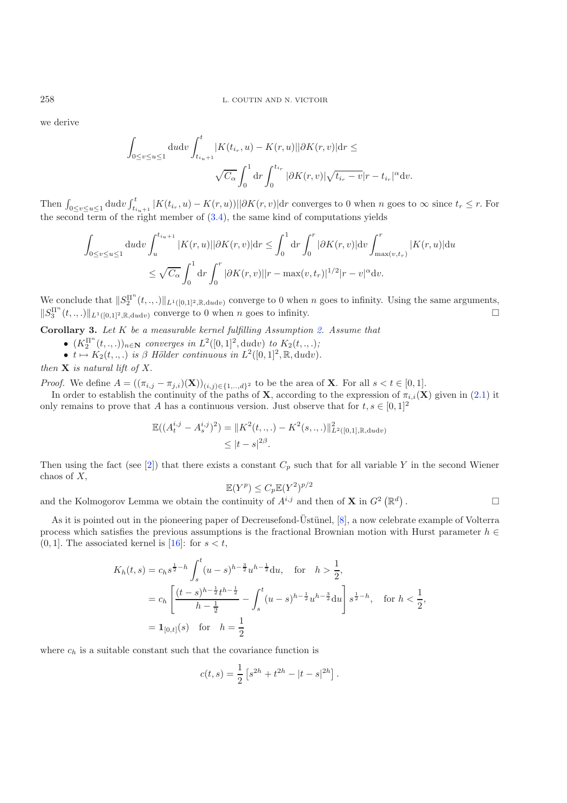we derive

$$
\int_{0 \le v \le u \le 1} \mathrm{d}u \mathrm{d}v \int_{t_{i_u+1}}^{t} |K(t_{i_r}, u) - K(r, u)|| \partial K(r, v)| \mathrm{d}r \le
$$
  

$$
\sqrt{C_{\alpha}} \int_{0}^{1} \mathrm{d}r \int_{0}^{t_{i_r}} |\partial K(r, v)| \sqrt{t_{i_r} - v}|r - t_{i_r}|^{\alpha} \mathrm{d}v.
$$

Then  $\int_{0 \le v \le u \le 1} dudv \int_{t_{i+1}}^{t} |K(t_{i_r}, u) - K(r, u))| |\partial K(r, v)| dr$  converges to 0 when n goes to  $\infty$  since  $t_r \le r$ . For the second term of the right member of  $(3.4)$ , the same kind of computations yields

$$
\int_{0 \le v \le u \le 1} \mathrm{d}u \mathrm{d}v \int_{u}^{t_{i_u+1}} |K(r, u)| |\partial K(r, v)| \mathrm{d}r \le \int_{0}^{1} \mathrm{d}r \int_{0}^{r} |\partial K(r, v)| \mathrm{d}v \int_{\max(v, t_r)}^{r} |K(r, u)| \mathrm{d}u
$$
  

$$
\le \sqrt{C_{\alpha}} \int_{0}^{1} \mathrm{d}r \int_{0}^{r} |\partial K(r, v)| |r - \max(v, t_r)|^{1/2} |r - v|^{\alpha} \mathrm{d}v.
$$

We conclude that  $||S_2^{\Pi^n}(t, \ldots)||_{L^1([0,1]^2,\mathbb{R}, \text{d}udv)}$  converge to 0 when n goes to infinity. Using the same arguments,  $||S_3^{\Pi^n}(t, \ldots)||_{L^1([0,1]^2, \mathbb{R}, \text{d}udv)}$  converge to 0 when *n* goes to infinity.

<span id="page-11-0"></span>**Corollary 3.** *Let* K *be a measurable kernel fulfilling Assumption [2.](#page-7-0) Assume that*

- $(K_2^{\Pi^n}(t, ., .))_{n \in \mathbb{N}}$  *converges in*  $L^2([0, 1]^2, \text{d}u\text{d}v)$  *to*  $K_2(t, ., .);$
- $t \mapsto K_2(t,.)$  *is*  $\beta$  *Hölder continuous in*  $L^2([0,1]^2, \mathbb{R}, dudv)$ *.*

*then* **X** *is natural lift of* X.

*Proof.* We define  $A = ((\pi_{i,j} - \pi_{j,i})(\mathbf{X}))_{(i,j)\in\{1,\ldots,d\}^2}$  to be the area of **X**. For all  $s < t \in [0,1]$ .

In order to establish the continuity of the paths of **X**, according to the expression of  $\pi_{i,i}(\mathbf{X})$  given in [\(2.1\)](#page-3-1) it only remains to prove that A has a continuous version. Just observe that for  $t, s \in [0, 1]^2$ 

$$
\mathbb{E}((A_t^{i,j} - A_s^{i,j})^2) = \|K^2(t, \ldots) - K^2(s, \ldots)\|_{L^2([0,1], \mathbb{R}, \text{d}udv)}^2
$$
  

$$
\leq |t - s|^{2\beta}.
$$

Then using the fact (see [\[2](#page-12-10)]) that there exists a constant  $C_p$  such that for all variable Y in the second Wiener chaos of  $X$ ,

$$
\mathbb{E}(Y^p) \le C_p \mathbb{E}(Y^2)^{p/2}
$$

and the Kolmogorov Lemma we obtain the continuity of  $A^{i,j}$  and then of **X** in  $G^2(\mathbb{R}^d)$ .  $\Box$ 

As it is pointed out in the pioneering paper of Decreusefond-Ustünel,  $[8]$  $[8]$ , a now celebrate example of Volterra process which satisfies the previous assumptions is the fractional Brownian motion with Hurst parameter  $h \in$  $(0, 1]$ . The associated kernel is [\[16](#page-13-4)]: for  $s < t$ ,

$$
K_h(t,s) = c_h s^{\frac{1}{2} - h} \int_s^t (u-s)^{h-\frac{3}{2}} u^{h-\frac{1}{2}} du, \text{ for } h > \frac{1}{2},
$$
  
=  $c_h \left[ \frac{(t-s)^{h-\frac{1}{2}} t^{h-\frac{1}{2}}}{h-\frac{1}{2}} - \int_s^t (u-s)^{h-\frac{1}{2}} u^{h-\frac{3}{2}} du \right] s^{\frac{1}{2} - h}, \text{ for } h < \frac{1}{2},$   
=  $\mathbf{1}_{[0,t]}(s)$  for  $h = \frac{1}{2}$ 

where  $c_h$  is a suitable constant such that the covariance function is

$$
c(t,s) = \frac{1}{2} \left[ s^{2h} + t^{2h} - |t - s|^{2h} \right].
$$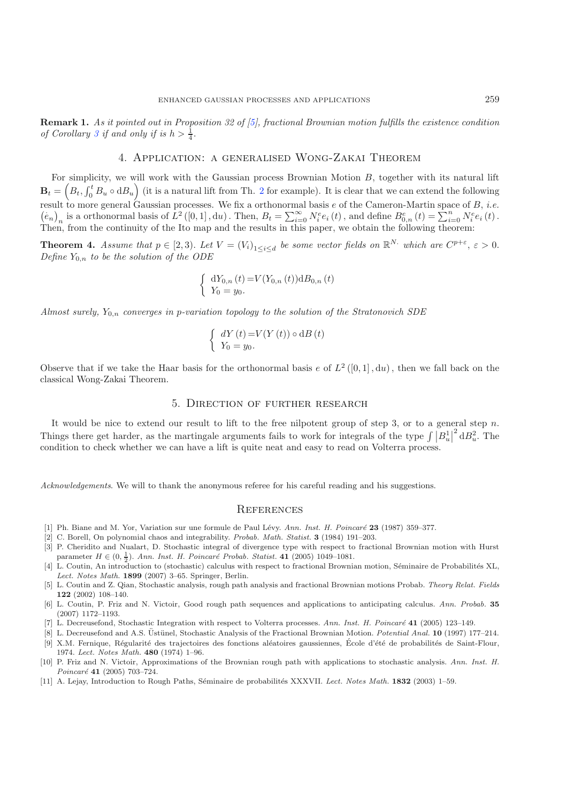**Remark 1.** *As it pointed out in Proposition 32 of [\[5](#page-12-3)], fractional Brownian motion fulfills the existence condition of Corollary* [3](#page-11-0) *if and only if is*  $h > \frac{1}{4}$ .

# 4. Application: a generalised Wong-Zakai Theorem

For simplicity, we will work with the Gaussian process Brownian Motion B, together with its natural lift  $\mathbf{B}_t = \left(B_t, \int_0^t B_u \circ dB_u\right)$  (it is a natural lift from Th. [2](#page-6-0) for example). It is clear that we can extend the following result to more general Gaussian processes. We fix a orthonormal basis e of the Cameron-Martin space of B, *i.e.*  $(e_n)_n$  is a orthonormal basis of  $L^2([0,1], du)$ . Then,  $B_t = \sum_{i=0}^{\infty} N_i^e e_i(t)$ , and define  $B_{0,n}^e(t) = \sum_{i=0}^n N_i^e e_i(t)$ . Then, from the continuity of the Ito map and the results in this paper, we obtain the following theorem:

**Theorem 4.** *Assume that*  $p \in [2,3)$ . *Let*  $V = (V_i)_{1 \leq i \leq d}$  *be some vector fields on*  $\mathbb{R}^{N}$  *which are*  $C^{p+\varepsilon}$ ,  $\varepsilon > 0$ . *Define*  $Y_{0,n}$  *to be the solution of the ODE* 

$$
\begin{cases} dY_{0,n}(t) = V(Y_{0,n}(t))dB_{0,n}(t) \\ Y_0 = y_0. \end{cases}
$$

*Almost surely,* Y<sup>0</sup>,n *converges in* p*-variation topology to the solution of the Stratonovich SDE*

$$
\begin{cases}\n dY(t) = V(Y(t)) \circ dB(t) \\
Y_0 = y_0.\n\end{cases}
$$

Observe that if we take the Haar basis for the orthonormal basis e of  $L^2([0,1], du)$ , then we fall back on the classical Wong-Zakai Theorem.

# 5. Direction of further research

It would be nice to extend our result to lift to the free nilpotent group of step 3, or to a general step  $n$ . Things there get harder, as the martingale arguments fails to work for integrals of the type  $\int |B_u^1|^2 dB_u^2$ . The condition to check whether we can have a lift is quite neat and easy to read on Volterra process.

*Acknowledgements*. We will to thank the anonymous referee for his careful reading and his suggestions.

#### **REFERENCES**

- <span id="page-12-4"></span>[1] Ph. Biane and M. Yor, Variation sur une formule de Paul L´evy. *Ann. Inst. H. Poincar´e* **23** (1987) 359–377.
- [2] C. Borell, On polynomial chaos and integrability. *Probab. Math. Statist.* **3** (1984) 191–203.
- <span id="page-12-10"></span><span id="page-12-6"></span>[3] P. Cheridito and Nualart, D. Stochastic integral of divergence type with respect to fractional Brownian motion with Hurst parameter  $H \in (0, \frac{1}{2})$ . *Ann. Inst. H. Poincaré Probab. Statist.* **41** (2005) 1049-1081.
- <span id="page-12-8"></span>[4] L. Coutin, An introduction to (stochastic) calculus with respect to fractional Brownian motion, Séminaire de Probabilités XL, *Lect. Notes Math.* **1899** (2007) 3–65. Springer, Berlin.
- <span id="page-12-3"></span>[5] L. Coutin and Z. Qian, Stochastic analysis, rough path analysis and fractional Brownian motions Probab. *Theory Relat. Fields* **122** (2002) 108–140.
- <span id="page-12-2"></span>[6] L. Coutin, P. Friz and N. Victoir, Good rough path sequences and applications to anticipating calculus. *Ann. Probab.* **35** (2007) 1172–1193.
- [7] L. Decreusefond, Stochastic Integration with respect to Volterra processes. Ann. Inst. H. Poincaré 41 (2005) 123–149.
- <span id="page-12-9"></span><span id="page-12-7"></span>[8] L. Decreusefond and A.S. Üstünel, Stochastic Analysis of the Fractional Brownian Motion. *Potential Anal.* **10** (1997) 177–214. [9] X.M. Fernique, Régularité des trajectoires des fonctions aléatoires gaussiennes, École d'été de probabilités de Saint-Flour, 1974. *Lect. Notes Math.* **480** (1974) 1–96.
- <span id="page-12-5"></span><span id="page-12-1"></span>[10] P. Friz and N. Victoir, Approximations of the Brownian rough path with applications to stochastic analysis. *Ann. Inst. H. Poincar´e* **41** (2005) 703–724.
- <span id="page-12-0"></span>[11] A. Lejay, Introduction to Rough Paths, S´eminaire de probabilit´es XXXVII. *Lect. Notes Math.* **1832** (2003) 1–59.